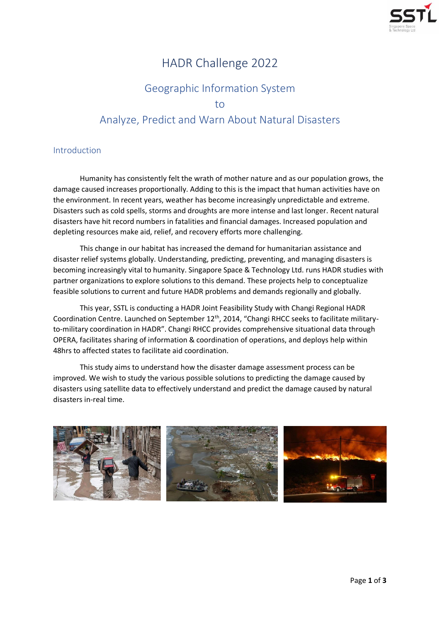

# HADR Challenge 2022

# Geographic Information System to Analyze, Predict and Warn About Natural Disasters

### Introduction

Humanity has consistently felt the wrath of mother nature and as our population grows, the damage caused increases proportionally. Adding to this is the impact that human activities have on the environment. In recent years, weather has become increasingly unpredictable and extreme. Disasters such as cold spells, storms and droughts are more intense and last longer. Recent natural disasters have hit record numbers in fatalities and financial damages. Increased population and depleting resources make aid, relief, and recovery efforts more challenging.

This change in our habitat has increased the demand for humanitarian assistance and disaster relief systems globally. Understanding, predicting, preventing, and managing disasters is becoming increasingly vital to humanity. Singapore Space & Technology Ltd. runs HADR studies with partner organizations to explore solutions to this demand. These projects help to conceptualize feasible solutions to current and future HADR problems and demands regionally and globally.

This year, SSTL is conducting a HADR Joint Feasibility Study with Changi Regional HADR Coordination Centre. Launched on September 12<sup>th</sup>, 2014, "Changi RHCC seeks to facilitate militaryto-military coordination in HADR". Changi RHCC provides comprehensive situational data through OPERA, facilitates sharing of information & coordination of operations, and deploys help within 48hrs to affected states to facilitate aid coordination.

This study aims to understand how the disaster damage assessment process can be improved. We wish to study the various possible solutions to predicting the damage caused by disasters using satellite data to effectively understand and predict the damage caused by natural disasters in-real time.

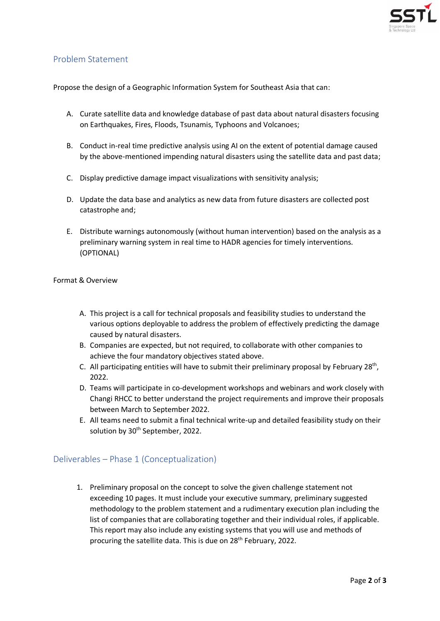

#### Problem Statement

Propose the design of a Geographic Information System for Southeast Asia that can:

- A. Curate satellite data and knowledge database of past data about natural disasters focusing on Earthquakes, Fires, Floods, Tsunamis, Typhoons and Volcanoes;
- B. Conduct in-real time predictive analysis using AI on the extent of potential damage caused by the above-mentioned impending natural disasters using the satellite data and past data;
- C. Display predictive damage impact visualizations with sensitivity analysis;
- D. Update the data base and analytics as new data from future disasters are collected post catastrophe and;
- E. Distribute warnings autonomously (without human intervention) based on the analysis as a preliminary warning system in real time to HADR agencies for timely interventions. (OPTIONAL)

Format & Overview

- A. This project is a call for technical proposals and feasibility studies to understand the various options deployable to address the problem of effectively predicting the damage caused by natural disasters.
- B. Companies are expected, but not required, to collaborate with other companies to achieve the four mandatory objectives stated above.
- C. All participating entities will have to submit their preliminary proposal by February 28<sup>th</sup>, 2022.
- D. Teams will participate in co-development workshops and webinars and work closely with Changi RHCC to better understand the project requirements and improve their proposals between March to September 2022.
- E. All teams need to submit a final technical write-up and detailed feasibility study on their solution by 30<sup>th</sup> September, 2022.

#### Deliverables – Phase 1 (Conceptualization)

1. Preliminary proposal on the concept to solve the given challenge statement not exceeding 10 pages. It must include your executive summary, preliminary suggested methodology to the problem statement and a rudimentary execution plan including the list of companies that are collaborating together and their individual roles, if applicable. This report may also include any existing systems that you will use and methods of procuring the satellite data. This is due on 28<sup>th</sup> February, 2022.